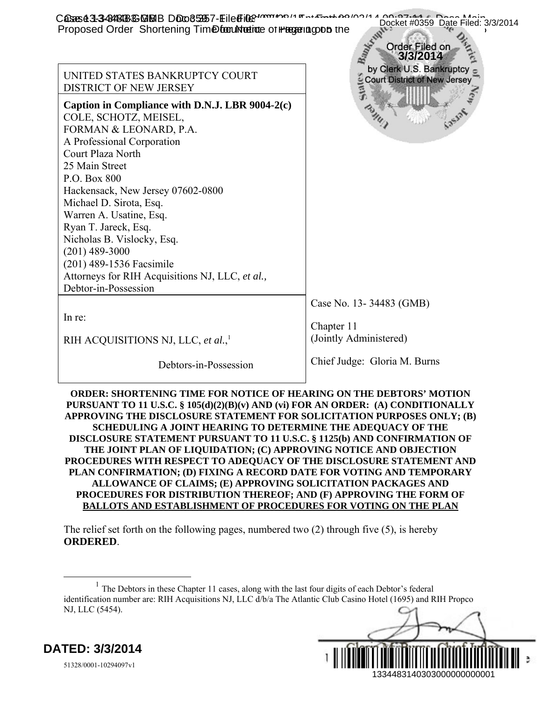| CASES 43-3-84848-66 MBIB DOO65957-EiledFile 70000 14 For Each And 14<br>Proposed Order Shortening Time for the interesting on the proposed Order Shortening Time for the                                                                                                                                                                                                                                                                                                                                                                                                                                                                                                                                                                                                                                                      | Docket #0359 Date Filed: 3/3/2014<br>Order Filed on<br>3/3/2014 |
|-------------------------------------------------------------------------------------------------------------------------------------------------------------------------------------------------------------------------------------------------------------------------------------------------------------------------------------------------------------------------------------------------------------------------------------------------------------------------------------------------------------------------------------------------------------------------------------------------------------------------------------------------------------------------------------------------------------------------------------------------------------------------------------------------------------------------------|-----------------------------------------------------------------|
| UNITED STATES BANKRUPTCY COURT<br>DISTRICT OF NEW JERSEY                                                                                                                                                                                                                                                                                                                                                                                                                                                                                                                                                                                                                                                                                                                                                                      | by Clerk U.S. Bankruptcy<br>Court District of New Jersey        |
| Caption in Compliance with D.N.J. LBR 9004-2(c)<br>COLE, SCHOTZ, MEISEL,<br>FORMAN & LEONARD, P.A.<br>A Professional Corporation<br>Court Plaza North<br>25 Main Street<br>P.O. Box 800<br>Hackensack, New Jersey 07602-0800<br>Michael D. Sirota, Esq.<br>Warren A. Usatine, Esq.<br>Ryan T. Jareck, Esq.<br>Nicholas B. Vislocky, Esq.<br>$(201)$ 489-3000<br>(201) 489-1536 Facsimile<br>Attorneys for RIH Acquisitions NJ, LLC, et al.,<br>Debtor-in-Possession                                                                                                                                                                                                                                                                                                                                                           |                                                                 |
| In re:                                                                                                                                                                                                                                                                                                                                                                                                                                                                                                                                                                                                                                                                                                                                                                                                                        | Case No. 13-34483 (GMB)                                         |
| RIH ACQUISITIONS NJ, LLC, et al., <sup>1</sup>                                                                                                                                                                                                                                                                                                                                                                                                                                                                                                                                                                                                                                                                                                                                                                                | Chapter 11<br>(Jointly Administered)                            |
| Debtors-in-Possession                                                                                                                                                                                                                                                                                                                                                                                                                                                                                                                                                                                                                                                                                                                                                                                                         | Chief Judge: Gloria M. Burns                                    |
| <b>ORDER: SHORTENING TIME FOR NOTICE OF HEARING ON THE DEBTORS' MOTION</b><br>PURSUANT TO 11 U.S.C. § 105(d)(2)(B)(v) AND (vi) FOR AN ORDER: (A) CONDITIONALLY<br>APPROVING THE DISCLOSURE STATEMENT FOR SOLICITATION PURPOSES ONLY; (B)<br><b>SCHEDULING A JOINT HEARING TO DETERMINE THE ADEQUACY OF THE</b><br>DISCLOSURE STATEMENT PURSUANT TO 11 U.S.C. § 1125(b) AND CONFIRMATION OF<br>THE JOINT PLAN OF LIQUIDATION; (C) APPROVING NOTICE AND OBJECTION<br>PROCEDURES WITH RESPECT TO ADEQUACY OF THE DISCLOSURE STATEMENT AND<br>PLAN CONFIRMATION; (D) FIXING A RECORD DATE FOR VOTING AND TEMPORARY<br>ALLOWANCE OF CLAIMS; (E) APPROVING SOLICITATION PACKAGES AND<br>PROCEDURES FOR DISTRIBUTION THEREOF; AND (F) APPROVING THE FORM OF<br><b>BALLOTS AND ESTABLISHMENT OF PROCEDURES FOR VOTING ON THE PLAN</b> |                                                                 |
| The relief set forth on the following pages, numbered two $(2)$ through five $(5)$ , is hereby<br><b>ORDERED.</b>                                                                                                                                                                                                                                                                                                                                                                                                                                                                                                                                                                                                                                                                                                             |                                                                 |
| <sup>1</sup> The Debtors in these Chapter 11 cases, along with the last four digits of each Debtor's federal<br>identification number are: RIH Acquisitions NJ, LLC d/b/a The Atlantic Club Casino Hotel (1695) and RIH Propco<br>NJ, LLC (5454).                                                                                                                                                                                                                                                                                                                                                                                                                                                                                                                                                                             |                                                                 |
| ATED: 3/3/2014                                                                                                                                                                                                                                                                                                                                                                                                                                                                                                                                                                                                                                                                                                                                                                                                                |                                                                 |
| 51328/0001-10294097v1                                                                                                                                                                                                                                                                                                                                                                                                                                                                                                                                                                                                                                                                                                                                                                                                         | 1334483140303000000000001                                       |

## **ORDER: SHORTENING TIME FOR NOTICE OF HEARING ON THE DEBTORS' MOTION PURSUANT TO 11 U.S.C. § 105(d)(2)(B)(v) AND (vi) FOR AN ORDER: (A) CONDITIONALLY APPROVING THE DISCLOSURE STATEMENT FOR SOLICITATION PURPOSES ONLY; (B) SCHEDULING A JOINT HEARING TO DETERMINE THE ADEQUACY OF THE DISCLOSURE STATEMENT PURSUANT TO 11 U.S.C. § 1125(b) AND CONFIRMATION OF THE JOINT PLAN OF LIQUIDATION; (C) APPROVING NOTICE AND OBJECTION PROCEDURES WITH RESPECT TO ADEQUACY OF THE DISCLOSURE STATEMENT AND PLAN CONFIRMATION; (D) FIXING A RECORD DATE FOR VOTING AND TEMPORARY ALLOWANCE OF CLAIMS; (E) APPROVING SOLICITATION PACKAGES AND PROCEDURES FOR DISTRIBUTION THEREOF; AND (F) APPROVING THE FORM OF BALLOTS AND ESTABLISHMENT OF PROCEDURES FOR VOTING ON THE PLAN**

 $<sup>1</sup>$  The Debtors in these Chapter 11 cases, along with the last four digits of each Debtor's federal</sup> identification number are: RIH Acquisitions NJ, LLC d/b/a The Atlantic Club Casino Hotel (1695) and RIH Propco NJ, LLC (5454).



**DATED: 3/3/2014**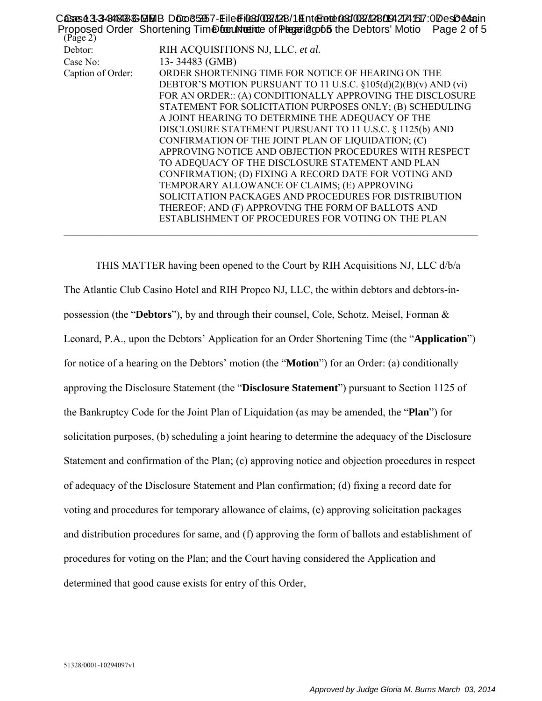| (Page 2)          | C <del>QSzS43-3424198BSDBUB</del> BDD00653957-Eile@Fi033100321248/14Ent@Fatch03310031224009427241517:0DesD&\$ain<br>Proposed Order Shortening Time for the function of Plageriago 65 the Debtors' Motio Page 2 of 5 |
|-------------------|---------------------------------------------------------------------------------------------------------------------------------------------------------------------------------------------------------------------|
| Debtor:           | RIH ACQUISITIONS NJ, LLC, et al.                                                                                                                                                                                    |
| Case No:          | 13-34483 (GMB)                                                                                                                                                                                                      |
| Caption of Order: | ORDER SHORTENING TIME FOR NOTICE OF HEARING ON THE                                                                                                                                                                  |
|                   | DEBTOR'S MOTION PURSUANT TO 11 U.S.C. §105(d)(2)(B)(v) AND (vi)                                                                                                                                                     |
|                   | FOR AN ORDER:: (A) CONDITIONALLY APPROVING THE DISCLOSURE                                                                                                                                                           |
|                   | STATEMENT FOR SOLICITATION PURPOSES ONLY; (B) SCHEDULING                                                                                                                                                            |
|                   | A JOINT HEARING TO DETERMINE THE ADEQUACY OF THE                                                                                                                                                                    |
|                   | DISCLOSURE STATEMENT PURSUANT TO 11 U.S.C. § 1125(b) AND                                                                                                                                                            |
|                   | CONFIRMATION OF THE JOINT PLAN OF LIQUIDATION; (C)                                                                                                                                                                  |
|                   | APPROVING NOTICE AND OBJECTION PROCEDURES WITH RESPECT                                                                                                                                                              |
|                   | TO ADEQUACY OF THE DISCLOSURE STATEMENT AND PLAN                                                                                                                                                                    |
|                   | CONFIRMATION; (D) FIXING A RECORD DATE FOR VOTING AND                                                                                                                                                               |
|                   | TEMPORARY ALLOWANCE OF CLAIMS; (E) APPROVING                                                                                                                                                                        |
|                   | SOLICITATION PACKAGES AND PROCEDURES FOR DISTRIBUTION                                                                                                                                                               |
|                   | THEREOF; AND (F) APPROVING THE FORM OF BALLOTS AND                                                                                                                                                                  |
|                   | ESTABLISHMENT OF PROCEDURES FOR VOTING ON THE PLAN                                                                                                                                                                  |
|                   |                                                                                                                                                                                                                     |

THIS MATTER having been opened to the Court by RIH Acquisitions NJ, LLC d/b/a The Atlantic Club Casino Hotel and RIH Propco NJ, LLC, the within debtors and debtors-inpossession (the "**Debtors**"), by and through their counsel, Cole, Schotz, Meisel, Forman & Leonard, P.A., upon the Debtors' Application for an Order Shortening Time (the "**Application**") for notice of a hearing on the Debtors' motion (the "**Motion**") for an Order: (a) conditionally approving the Disclosure Statement (the "**Disclosure Statement**") pursuant to Section 1125 of the Bankruptcy Code for the Joint Plan of Liquidation (as may be amended, the "**Plan**") for solicitation purposes, (b) scheduling a joint hearing to determine the adequacy of the Disclosure Statement and confirmation of the Plan; (c) approving notice and objection procedures in respect of adequacy of the Disclosure Statement and Plan confirmation; (d) fixing a record date for voting and procedures for temporary allowance of claims, (e) approving solicitation packages and distribution procedures for same, and (f) approving the form of ballots and establishment of procedures for voting on the Plan; and the Court having considered the Application and determined that good cause exists for entry of this Order,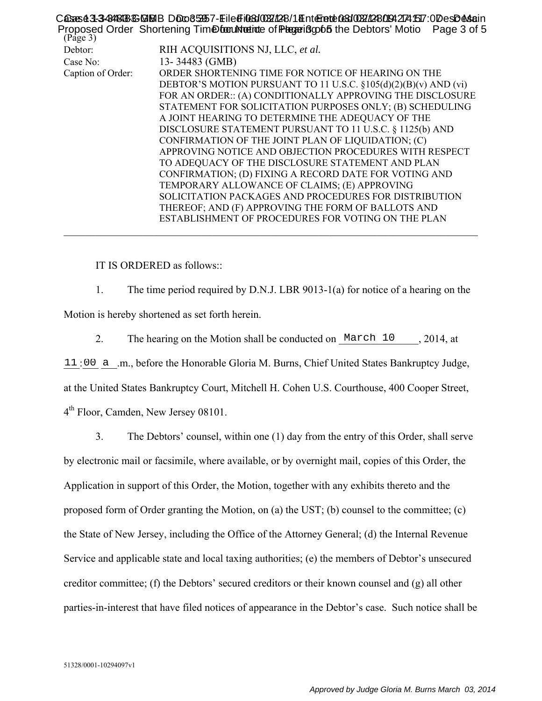| $(Page\ 3)$       | C <del>QSzS43-3424198BSDBUB</del> BDD00653957-Eile@Fi033100321248/14Ent@Fatch03310031224009427241517:0DesD&\$ain<br>Proposed Order Shortening Time for the interestigation of the Debtors' Motio Page 3 of 5 |
|-------------------|--------------------------------------------------------------------------------------------------------------------------------------------------------------------------------------------------------------|
| Debtor:           | RIH ACQUISITIONS NJ, LLC, et al.                                                                                                                                                                             |
| Case No:          | 13-34483 (GMB)                                                                                                                                                                                               |
| Caption of Order: | ORDER SHORTENING TIME FOR NOTICE OF HEARING ON THE                                                                                                                                                           |
|                   | DEBTOR'S MOTION PURSUANT TO 11 U.S.C. §105(d)(2)(B)(v) AND (vi)                                                                                                                                              |
|                   | FOR AN ORDER:: (A) CONDITIONALLY APPROVING THE DISCLOSURE                                                                                                                                                    |
|                   | STATEMENT FOR SOLICITATION PURPOSES ONLY; (B) SCHEDULING                                                                                                                                                     |
|                   | A JOINT HEARING TO DETERMINE THE ADEQUACY OF THE                                                                                                                                                             |
|                   | DISCLOSURE STATEMENT PURSUANT TO 11 U.S.C. § 1125(b) AND                                                                                                                                                     |
|                   | CONFIRMATION OF THE JOINT PLAN OF LIQUIDATION; (C)                                                                                                                                                           |
|                   | APPROVING NOTICE AND OBJECTION PROCEDURES WITH RESPECT                                                                                                                                                       |
|                   | TO ADEQUACY OF THE DISCLOSURE STATEMENT AND PLAN                                                                                                                                                             |
|                   | CONFIRMATION; (D) FIXING A RECORD DATE FOR VOTING AND                                                                                                                                                        |
|                   | TEMPORARY ALLOWANCE OF CLAIMS; (E) APPROVING                                                                                                                                                                 |
|                   | SOLICITATION PACKAGES AND PROCEDURES FOR DISTRIBUTION                                                                                                                                                        |
|                   | THEREOF; AND (F) APPROVING THE FORM OF BALLOTS AND                                                                                                                                                           |
|                   | ESTABLISHMENT OF PROCEDURES FOR VOTING ON THE PLAN                                                                                                                                                           |
|                   |                                                                                                                                                                                                              |

IT IS ORDERED as follows::

1. The time period required by D.N.J. LBR 9013-1(a) for notice of a hearing on the Motion is hereby shortened as set forth herein.

2. The hearing on the Motion shall be conducted on  $\text{March } 10$ , 2014, at

11:00 a .m., before the Honorable Gloria M. Burns, Chief United States Bankruptcy Judge, at the United States Bankruptcy Court, Mitchell H. Cohen U.S. Courthouse, 400 Cooper Street, 4<sup>th</sup> Floor, Camden, New Jersey 08101.

3. The Debtors' counsel, within one (1) day from the entry of this Order, shall serve by electronic mail or facsimile, where available, or by overnight mail, copies of this Order, the Application in support of this Order, the Motion, together with any exhibits thereto and the proposed form of Order granting the Motion, on (a) the UST; (b) counsel to the committee; (c) the State of New Jersey, including the Office of the Attorney General; (d) the Internal Revenue Service and applicable state and local taxing authorities; (e) the members of Debtor's unsecured creditor committee; (f) the Debtors' secured creditors or their known counsel and (g) all other parties-in-interest that have filed notices of appearance in the Debtor's case. Such notice shall be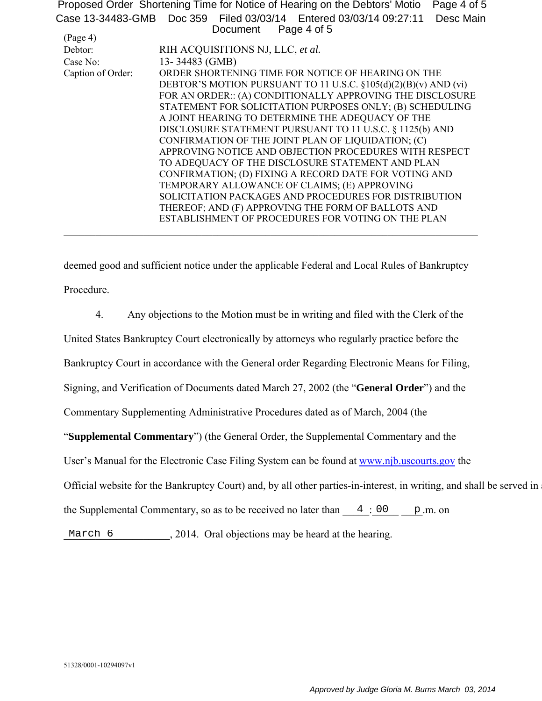Proposed Order Shortening Time for Notice of Hearing on the Debtors' Motio Page 4 of 5 Case 13-34483-GMB Doc 359 Filed 03/03/14 Entered 03/03/14 09:27:11 Desc Main Page 4 of 5

| (Page 4)          |                                                                 |
|-------------------|-----------------------------------------------------------------|
| Debtor:           | RIH ACQUISITIONS NJ, LLC, et al.                                |
| Case No:          | 13-34483 (GMB)                                                  |
| Caption of Order: | ORDER SHORTENING TIME FOR NOTICE OF HEARING ON THE              |
|                   | DEBTOR'S MOTION PURSUANT TO 11 U.S.C. §105(d)(2)(B)(v) AND (vi) |
|                   | FOR AN ORDER:: (A) CONDITIONALLY APPROVING THE DISCLOSURE       |
|                   | STATEMENT FOR SOLICITATION PURPOSES ONLY; (B) SCHEDULING        |
|                   | A JOINT HEARING TO DETERMINE THE ADEQUACY OF THE                |
|                   | DISCLOSURE STATEMENT PURSUANT TO 11 U.S.C. § 1125(b) AND        |
|                   | CONFIRMATION OF THE JOINT PLAN OF LIQUIDATION; (C)              |
|                   | APPROVING NOTICE AND OBJECTION PROCEDURES WITH RESPECT          |
|                   | TO ADEQUACY OF THE DISCLOSURE STATEMENT AND PLAN                |
|                   | CONFIRMATION; (D) FIXING A RECORD DATE FOR VOTING AND           |
|                   | TEMPORARY ALLOWANCE OF CLAIMS; (E) APPROVING                    |
|                   | SOLICITATION PACKAGES AND PROCEDURES FOR DISTRIBUTION           |
|                   | THEREOF; AND (F) APPROVING THE FORM OF BALLOTS AND              |
|                   | ESTABLISHMENT OF PROCEDURES FOR VOTING ON THE PLAN              |
|                   |                                                                 |

deemed good and sufficient notice under the applicable Federal and Local Rules of Bankruptcy Procedure.

4. Any objections to the Motion must be in writing and filed with the Clerk of the

United States Bankruptcy Court electronically by attorneys who regularly practice before the

Bankruptcy Court in accordance with the General order Regarding Electronic Means for Filing,

Signing, and Verification of Documents dated March 27, 2002 (the "**General Order**") and the

Commentary Supplementing Administrative Procedures dated as of March, 2004 (the

"**Supplemental Commentary**") (the General Order, the Supplemental Commentary and the

User's Manual for the Electronic Case Filing System can be found at www.njb.uscourts.gov the

Official website for the Bankruptcy Court) and, by all other parties-in-interest, in writing, and shall be served in

the Supplemental Commentary, so as to be received no later than  $\frac{4}{\sqrt{10}}$  =  $\frac{60}{\sqrt{10}}$  =  $\frac{60}{\sqrt{10}}$  =  $\frac{1}{\sqrt{10}}$  =  $\frac{1}{\sqrt{10}}$  =  $\frac{1}{\sqrt{10}}$  =  $\frac{1}{\sqrt{10}}$  =  $\frac{1}{\sqrt{10}}$  =  $\frac{1}{\sqrt{10}}$  =  $\frac{1}{\sqrt{10$ 

March 6 2014. Oral objections may be heard at the hearing.